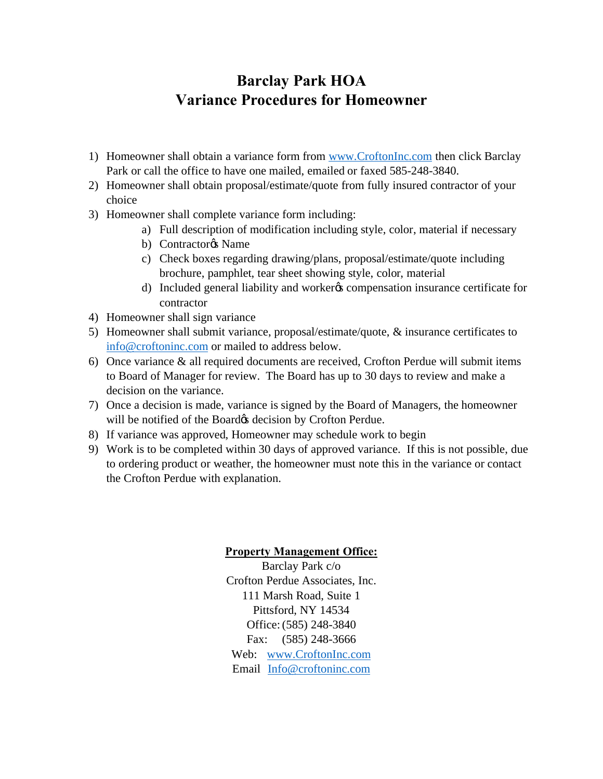## **Barclay Park HOA Variance Procedures for Homeowner**

- 1) Homeowner shall obtain a variance form from www.CroftonInc.com then click Barclay Park or call the office to have one mailed, emailed or faxed 585-248-3840.
- 2) Homeowner shall obtain proposal/estimate/quote from fully insured contractor of your choice
- 3) Homeowner shall complete variance form including:
	- a) Full description of modification including style, color, material if necessary
	- b) Contractor<sub>®</sub> Name
	- c) Check boxes regarding drawing/plans, proposal/estimate/quote including brochure, pamphlet, tear sheet showing style, color, material
	- d) Included general liability and worker's compensation insurance certificate for contractor
- 4) Homeowner shall sign variance
- 5) Homeowner shall submit variance, proposal/estimate/quote, & insurance certificates to info@croftoninc.com or mailed to address below.
- 6) Once variance & all required documents are received, Crofton Perdue will submit items to Board of Manager for review. The Board has up to 30 days to review and make a decision on the variance.
- 7) Once a decision is made, variance is signed by the Board of Managers, the homeowner will be notified of the Board & decision by Crofton Perdue.
- 8) If variance was approved, Homeowner may schedule work to begin
- 9) Work is to be completed within 30 days of approved variance. If this is not possible, due to ordering product or weather, the homeowner must note this in the variance or contact the Crofton Perdue with explanation.

## **Property Management Office:**

Barclay Park c/o Crofton Perdue Associates, Inc. 111 Marsh Road, Suite 1 Pittsford, NY 14534 Office:(585) 248-3840 Fax: (585) 248-3666 Web: www.CroftonInc.com Email Info@croftoninc.com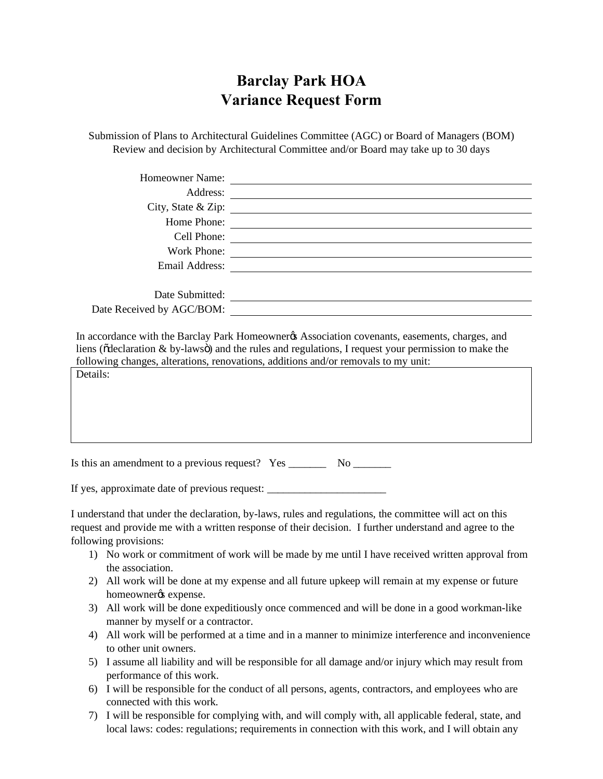## **Barclay Park HOA Variance Request Form**

Submission of Plans to Architectural Guidelines Committee (AGC) or Board of Managers (BOM) Review and decision by Architectural Committee and/or Board may take up to 30 days

|                                                                                  | Homeowner Name:                                                                                                                                                                                                                                                                              |
|----------------------------------------------------------------------------------|----------------------------------------------------------------------------------------------------------------------------------------------------------------------------------------------------------------------------------------------------------------------------------------------|
|                                                                                  |                                                                                                                                                                                                                                                                                              |
|                                                                                  |                                                                                                                                                                                                                                                                                              |
|                                                                                  | Home Phone:                                                                                                                                                                                                                                                                                  |
|                                                                                  |                                                                                                                                                                                                                                                                                              |
|                                                                                  |                                                                                                                                                                                                                                                                                              |
|                                                                                  |                                                                                                                                                                                                                                                                                              |
|                                                                                  | Date Submitted:                                                                                                                                                                                                                                                                              |
|                                                                                  |                                                                                                                                                                                                                                                                                              |
| Details:                                                                         | In accordance with the Barclay Park Homeowner & Association covenants, easements, charges, and<br>liens (õdeclaration & by-lawsö) and the rules and regulations, I request your permission to make the<br>following changes, alterations, renovations, additions and/or removals to my unit: |
|                                                                                  | Is this an amendment to a previous request? Yes __________ No ________                                                                                                                                                                                                                       |
| If yes, approximate date of previous request: __________________________________ |                                                                                                                                                                                                                                                                                              |
| following provisions:                                                            | I understand that under the declaration, by-laws, rules and regulations, the committee will act on this<br>request and provide me with a written response of their decision. I further understand and agree to the                                                                           |

- 1) No work or commitment of work will be made by me until I have received written approval from the association.
- 2) All work will be done at my expense and all future upkeep will remain at my expense or future homeowner $\alpha$  expense.
- 3) All work will be done expeditiously once commenced and will be done in a good workman-like manner by myself or a contractor.
- 4) All work will be performed at a time and in a manner to minimize interference and inconvenience to other unit owners.
- 5) I assume all liability and will be responsible for all damage and/or injury which may result from performance of this work.
- 6) I will be responsible for the conduct of all persons, agents, contractors, and employees who are connected with this work.
- 7) I will be responsible for complying with, and will comply with, all applicable federal, state, and local laws: codes: regulations; requirements in connection with this work, and I will obtain any